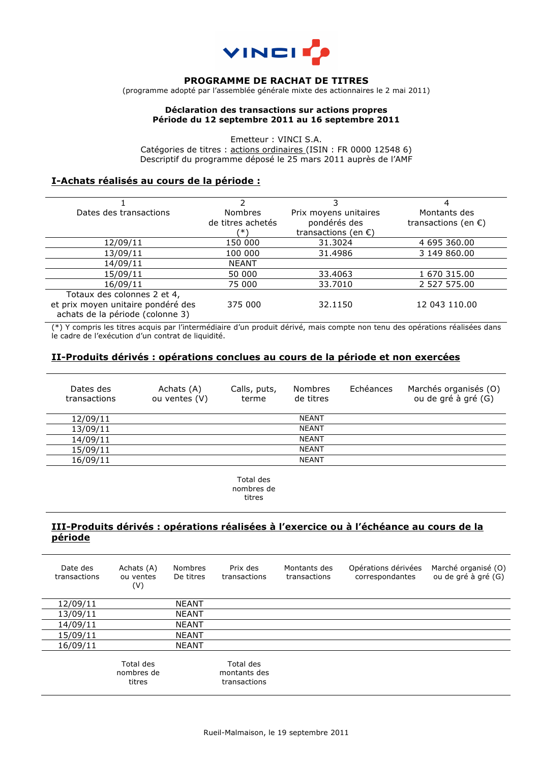

#### **PROGRAMME DE RACHAT DE TITRES**

(programme adopté par l'assemblée générale mixte des actionnaires le 2 mai 2011)

### **Déclaration des transactions sur actions propres Période du 12 septembre 2011 au 16 septembre 2011**

Emetteur : VINCI S.A. Catégories de titres : actions ordinaires (ISIN : FR 0000 12548 6) Descriptif du programme déposé le 25 mars 2011 auprès de l'AMF

## **I-Achats réalisés au cours de la période :**

|                                                                        |                   | 3.                            |                               |
|------------------------------------------------------------------------|-------------------|-------------------------------|-------------------------------|
| Dates des transactions                                                 | <b>Nombres</b>    | Prix moyens unitaires         | Montants des                  |
|                                                                        | de titres achetés | pondérés des                  | transactions (en $\epsilon$ ) |
|                                                                        | ′∗۱               | transactions (en $\epsilon$ ) |                               |
| 12/09/11                                                               | 150 000           | 31.3024                       | 4 695 360.00                  |
| 13/09/11                                                               | 100 000           | 31.4986                       | 3 149 860,00                  |
| 14/09/11                                                               | <b>NEANT</b>      |                               |                               |
| 15/09/11                                                               | 50 000            | 33.4063                       | 1 670 315.00                  |
| 16/09/11                                                               | 75 000            | 33.7010                       | 2 527 575.00                  |
| Totaux des colonnes 2 et 4,                                            |                   |                               |                               |
| et prix moyen unitaire pondéré des<br>achats de la période (colonne 3) | 375 000           | 32.1150                       | 12 043 110.00                 |

(\*) Y compris les titres acquis par l'intermédiaire d'un produit dérivé, mais compte non tenu des opérations réalisées dans le cadre de l'exécution d'un contrat de liquidité.

### **II-Produits dérivés : opérations conclues au cours de la période et non exercées**

| Dates des<br>transactions | Achats (A)<br>ou ventes (V) | Calls, puts,<br>terme | <b>Nombres</b><br>de titres | Echéances | Marchés organisés (O)<br>ou de gré à gré (G) |
|---------------------------|-----------------------------|-----------------------|-----------------------------|-----------|----------------------------------------------|
| 12/09/11                  |                             |                       | <b>NEANT</b>                |           |                                              |
| 13/09/11                  |                             |                       | <b>NEANT</b>                |           |                                              |
| 14/09/11                  |                             |                       | <b>NEANT</b>                |           |                                              |
| 15/09/11                  |                             |                       | <b>NEANT</b>                |           |                                              |
| 16/09/11                  |                             |                       | <b>NEANT</b>                |           |                                              |

Total des nombres de titres

## **III-Produits dérivés : opérations réalisées à l'exercice ou à l'échéance au cours de la période**

| Date des<br>transactions | Achats (A)<br>ou ventes<br>(V)    | Nombres<br>De titres | Prix des<br>transactions                  | Montants des<br>transactions | Opérations dérivées<br>correspondantes | Marché organisé (O)<br>ou de gré à gré (G) |
|--------------------------|-----------------------------------|----------------------|-------------------------------------------|------------------------------|----------------------------------------|--------------------------------------------|
| 12/09/11                 |                                   | <b>NEANT</b>         |                                           |                              |                                        |                                            |
| 13/09/11                 |                                   | <b>NEANT</b>         |                                           |                              |                                        |                                            |
| 14/09/11                 |                                   | <b>NEANT</b>         |                                           |                              |                                        |                                            |
| 15/09/11                 |                                   | <b>NEANT</b>         |                                           |                              |                                        |                                            |
| 16/09/11                 |                                   | <b>NEANT</b>         |                                           |                              |                                        |                                            |
|                          | Total des<br>nombres de<br>titres |                      | Total des<br>montants des<br>transactions |                              |                                        |                                            |